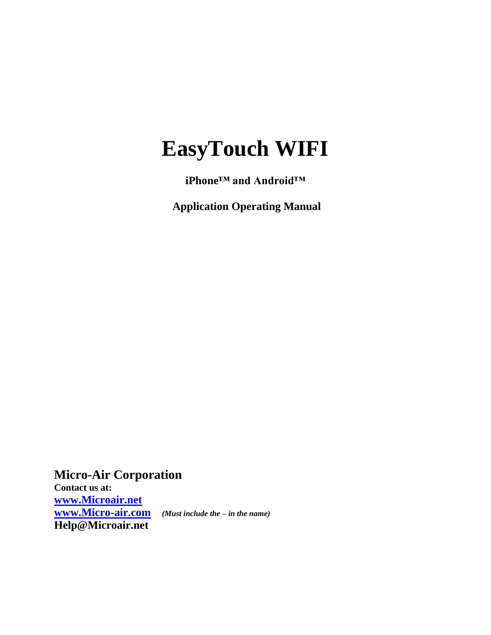# **EasyTouch WIFI**

**iPhone™ and Android™**

**Application Operating Manual**

**Micro-Air Corporation Contact us at: <www.Microair.net> [www.Micro-air.com](http://www.micro-air.com/)** *(Must include the – in the name)* **Help@Microair.net**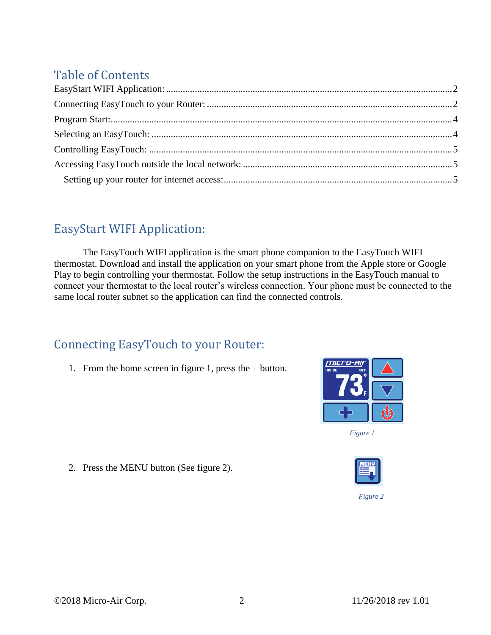## Table of Contents

## <span id="page-1-0"></span>EasyStart WIFI Application:

The EasyTouch WIFI application is the smart phone companion to the EasyTouch WIFI thermostat. Download and install the application on your smart phone from the Apple store or Google Play to begin controlling your thermostat. Follow the setup instructions in the EasyTouch manual to connect your thermostat to the local router's wireless connection. Your phone must be connected to the same local router subnet so the application can find the connected controls.

## <span id="page-1-1"></span>Connecting EasyTouch to your Router:

1. From the home screen in figure 1, press the + button.



*Figure 1*



*Figure 2*

2. Press the MENU button (See figure 2).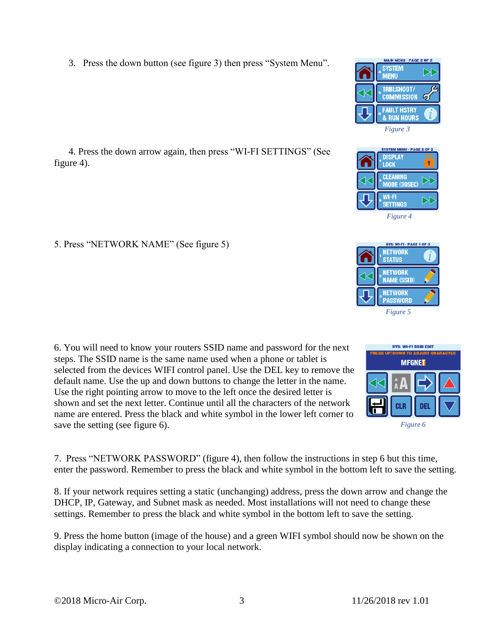3. Press the down button (see figure 3) then press "System Menu".

 4. Press the down arrow again, then press "WI-FI SETTINGS" (See figure 4).

#### 5. Press "NETWORK NAME" (See figure 5)

6. You will need to know your routers SSID name and password for the next steps. The SSID name is the same name used when a phone or tablet is selected from the devices WIFI control panel. Use the DEL key to remove the default name. Use the up and down buttons to change the letter in the name. Use the right pointing arrow to move to the left once the desired letter is shown and set the next letter. Continue until all the characters of the network name are entered. Press the black and white symbol in the lower left corner to save the setting (see figure 6).

7. Press "NETWORK PASSWORD" (figure 4), then follow the instructions in step 6 but this time, enter the password. Remember to press the black and white symbol in the bottom left to save the setting.

8. If your network requires setting a static (unchanging) address, press the down arrow and change the DHCP, IP, Gateway, and Subnet mask as needed. Most installations will not need to change these settings. Remember to press the black and white symbol in the bottom left to save the setting.

9. Press the home button (image of the house) and a green WIFI symbol should now be shown on the display indicating a connection to your local network.





**MAIN MENU - PAGE 2 OF 2** 

G

**SYSTEM MENU** TRBLSH00T/ **COMMISSION** 

*Figure 4*

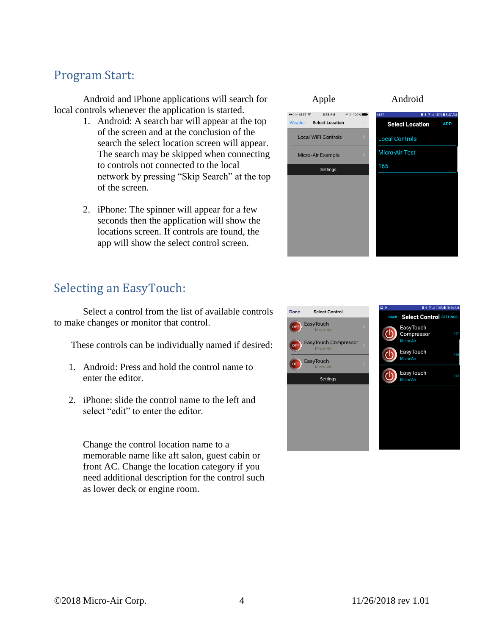#### <span id="page-3-0"></span>Program Start:

Android and iPhone applications will search for local controls whenever the application is started.

- 1. Android: A search bar will appear at the top of the screen and at the conclusion of the search the select location screen will appear. The search may be skipped when connecting to controls not connected to the local network by pressing "Skip Search" at the top of the screen.
- 2. iPhone: The spinner will appear for a few seconds then the application will show the locations screen. If controls are found, the app will show the select control screen.



**ADD** 

### <span id="page-3-1"></span>Selecting an EasyTouch:

Select a control from the list of available controls to make changes or monitor that control.

These controls can be individually named if desired:

- 1. Android: Press and hold the control name to enter the editor.
- 2. iPhone: slide the control name to the left and select "edit" to enter the editor.

Change the control location name to a memorable name like aft salon, guest cabin or front AC. Change the location category if you need additional description for the control such as lower deck or engine room.

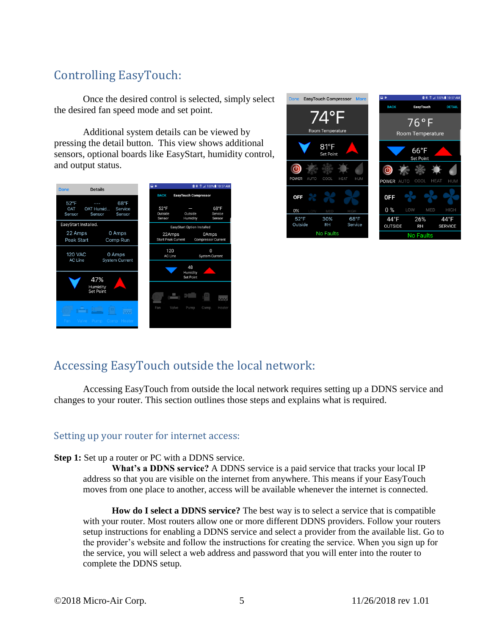# <span id="page-4-0"></span>Controlling EasyTouch:

Once the desired control is selected, simply select the desired fan speed mode and set point.

Additional system details can be viewed by pressing the detail button. This view shows additional sensors, optional boards like EasyStart, humidity control, and output status.

| <b>Details</b><br><b>Done</b>                                                                 | ⊡ ⊭<br><b>Ø * ☆ 4100%■10:57 AM</b>                                                      |
|-----------------------------------------------------------------------------------------------|-----------------------------------------------------------------------------------------|
|                                                                                               | <b>BACK</b><br><b>EasyTouch Compressor</b>                                              |
| $52^{\circ}$ F<br>$68^{\circ}$ F<br>OAT Humid<br>OAT<br>Service<br>Sensor<br>Sensor<br>Sensor | $52^{\circ}$ F<br>68°F<br>Outside<br>Outside<br>Service<br>Humidity<br>Sensor<br>Sensor |
| EasyStart Installed.                                                                          | <b>EasyStart Option Installed</b>                                                       |
| 22 Amps<br>0 Amps<br>Peak Start<br>Comp Run                                                   | 22Amps<br>0Amps<br><b>Start Peak Current</b><br><b>Compressor Current</b>               |
| <b>120 VAC</b><br>0 Amps<br><b>AC Line</b><br><b>System Current</b>                           | 120<br>0<br><b>AC Line</b><br>System Current                                            |
| 47%                                                                                           | 48<br>Humidity<br><b>Set Point</b>                                                      |
| Humidity<br>Set Point                                                                         | $\overline{\mathsf{w}}$                                                                 |
| Pump Comp Heater<br>Valve<br>Fan                                                              | Valve<br>Fan<br>Heater<br>Pump<br>Comp.                                                 |



#### <span id="page-4-1"></span>Accessing EasyTouch outside the local network:

Accessing EasyTouch from outside the local network requires setting up a DDNS service and changes to your router. This section outlines those steps and explains what is required.

#### <span id="page-4-2"></span>Setting up your router for internet access:

#### **Step 1:** Set up a router or PC with a DDNS service.

**What's a DDNS service?** A DDNS service is a paid service that tracks your local IP address so that you are visible on the internet from anywhere. This means if your EasyTouch moves from one place to another, access will be available whenever the internet is connected.

**How do I select a DDNS service?** The best way is to select a service that is compatible with your router. Most routers allow one or more different DDNS providers. Follow your routers setup instructions for enabling a DDNS service and select a provider from the available list. Go to the provider's website and follow the instructions for creating the service. When you sign up for the service, you will select a web address and password that you will enter into the router to complete the DDNS setup.